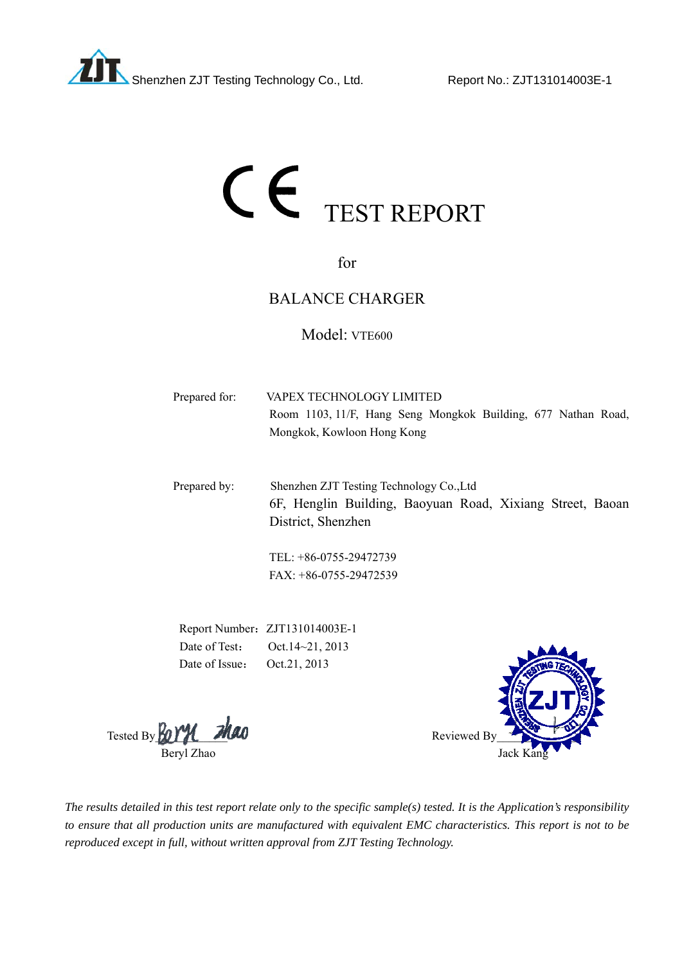

# CE TEST REPORT

for

# BALANCE CHARGER

# Model: VTE600

| Prepared for: | VAPEX TECHNOLOGY LIMITED                                      |
|---------------|---------------------------------------------------------------|
|               | Room 1103, 11/F, Hang Seng Mongkok Building, 677 Nathan Road, |
|               | Mongkok, Kowloon Hong Kong                                    |
|               |                                                               |
| Desmanad kyn  | $Ch$ angles $T$ $Th$ Tasting Tashnalagy $Ch$ , Ltd.           |

Prepared by: Shenzhen ZJT Testing Technology Co.,Ltd 6F, Henglin Building, Baoyuan Road, Xixiang Street, Baoan District, Shenzhen

> TEL: +86-0755-29472739 FAX: +86-0755-29472539

Report Number: ZJT131014003E-1 Date of Test: Oct. 14~21, 2013 Date of Issue: Oct.21, 2013

Tested By  $\frac{P_0 \gamma \gamma}{P_1}$  **Thao** 



*The results detailed in this test report relate only to the specific sample(s) tested. It is the Application's responsibility to ensure that all production units are manufactured with equivalent EMC characteristics. This report is not to be reproduced except in full, without written approval from ZJT Testing Technology.*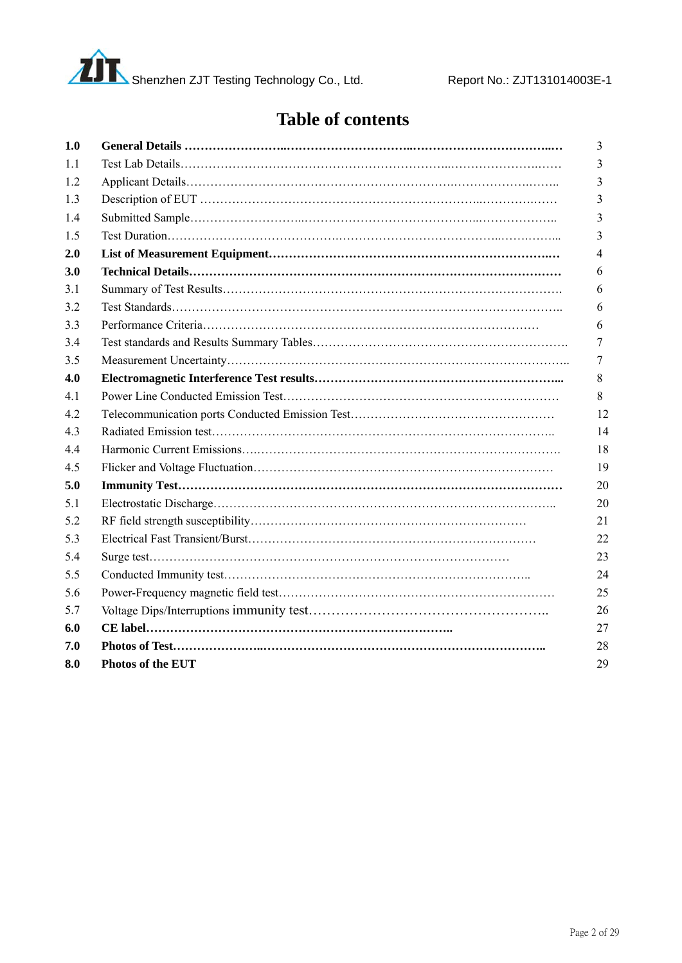

# **Table of contents**

| 1.0 |                          | 3              |
|-----|--------------------------|----------------|
| 1.1 |                          | 3              |
| 1.2 |                          | 3              |
| 1.3 |                          | 3              |
| 1.4 |                          | 3              |
| 1.5 |                          | 3              |
| 2.0 |                          | $\overline{4}$ |
| 3.0 |                          | 6              |
| 3.1 |                          | 6              |
| 3.2 |                          | 6              |
| 3.3 |                          | 6              |
| 3.4 |                          | 7              |
| 3.5 |                          | 7              |
| 4.0 |                          | 8              |
| 4.1 |                          | 8              |
| 4.2 |                          | 12             |
| 4.3 |                          | 14             |
| 4.4 |                          | 18             |
| 4.5 |                          | 19             |
| 5.0 |                          | 20             |
| 5.1 |                          | 20             |
| 5.2 |                          | 21             |
| 5.3 |                          | 22             |
| 5.4 |                          | 23             |
| 5.5 |                          | 24             |
| 5.6 |                          | 25             |
| 5.7 |                          | 26             |
| 6.0 |                          | 27             |
| 7.0 |                          | 28             |
| 8.0 | <b>Photos of the EUT</b> | 29             |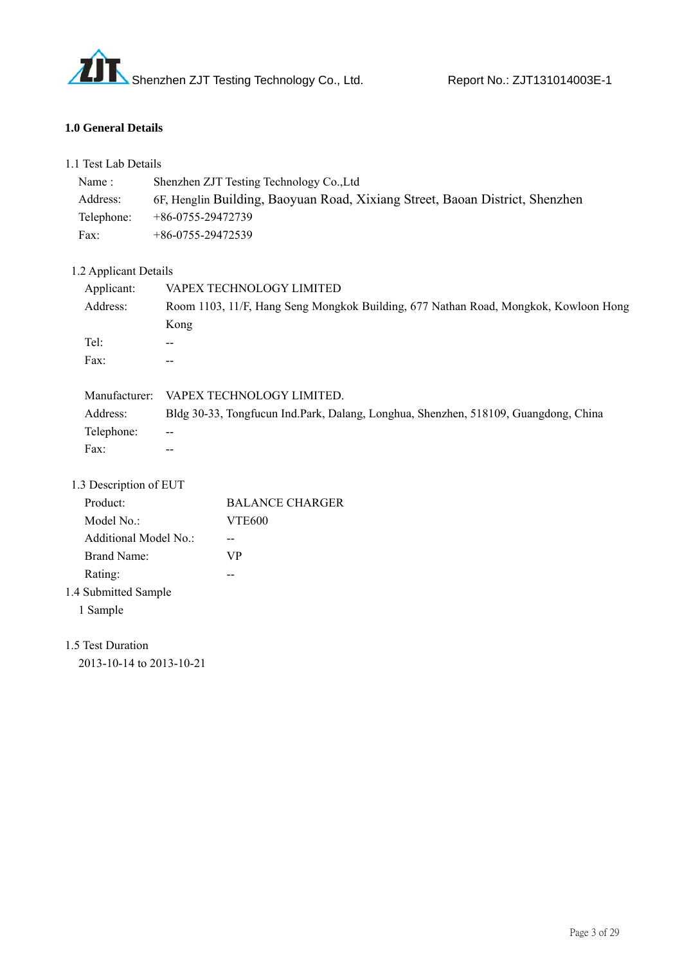

#### **1.0 General Details**

| 1.1 Test Lab Details     |                   |                                                                                     |
|--------------------------|-------------------|-------------------------------------------------------------------------------------|
| Name:                    |                   | Shenzhen ZJT Testing Technology Co., Ltd                                            |
| Address:                 |                   | 6F, Henglin Building, Baoyuan Road, Xixiang Street, Baoan District, Shenzhen        |
| Telephone:               | +86-0755-29472739 |                                                                                     |
| Fax:                     | +86-0755-29472539 |                                                                                     |
| 1.2 Applicant Details    |                   |                                                                                     |
| Applicant:               |                   | VAPEX TECHNOLOGY LIMITED                                                            |
| Address:                 |                   | Room 1103, 11/F, Hang Seng Mongkok Building, 677 Nathan Road, Mongkok, Kowloon Hong |
|                          | Kong              |                                                                                     |
| Tel:                     |                   |                                                                                     |
| Fax:                     | $-$               |                                                                                     |
|                          |                   | Manufacturer: VAPEX TECHNOLOGY LIMITED.                                             |
| Address:                 |                   | Bldg 30-33, Tongfucun Ind.Park, Dalang, Longhua, Shenzhen, 518109, Guangdong, China |
| Telephone:               |                   |                                                                                     |
| Fax:                     | $-$               |                                                                                     |
| 1.3 Description of EUT   |                   |                                                                                     |
| Product:                 |                   | <b>BALANCE CHARGER</b>                                                              |
| Model No.:               |                   | <b>VTE600</b>                                                                       |
| Additional Model No.:    |                   | $\overline{a}$                                                                      |
| <b>Brand Name:</b>       |                   | <b>VP</b>                                                                           |
| Rating:                  |                   | --                                                                                  |
| 1.4 Submitted Sample     |                   |                                                                                     |
| 1 Sample                 |                   |                                                                                     |
| 1.5 Test Duration        |                   |                                                                                     |
| 2013-10-14 to 2013-10-21 |                   |                                                                                     |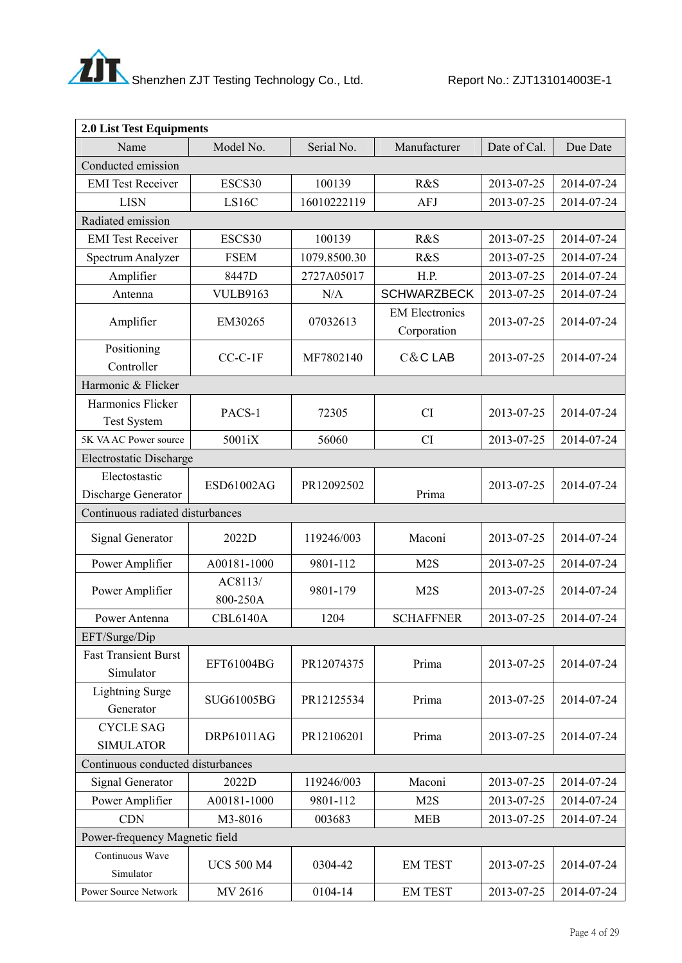

| 2.0 List Test Equipments                 |                     |              |                                      |              |            |  |
|------------------------------------------|---------------------|--------------|--------------------------------------|--------------|------------|--|
| Name                                     | Model No.           | Serial No.   | Manufacturer                         | Date of Cal. | Due Date   |  |
| Conducted emission                       |                     |              |                                      |              |            |  |
| <b>EMI</b> Test Receiver                 | ESCS30              | 100139       | R&S                                  | 2013-07-25   | 2014-07-24 |  |
| <b>LISN</b>                              | LS16C               | 16010222119  | AFJ                                  | 2013-07-25   | 2014-07-24 |  |
| Radiated emission                        |                     |              |                                      |              |            |  |
| <b>EMI</b> Test Receiver                 | ESCS30              | 100139       | R&S                                  | 2013-07-25   | 2014-07-24 |  |
| Spectrum Analyzer                        | <b>FSEM</b>         | 1079.8500.30 | R&S                                  | 2013-07-25   | 2014-07-24 |  |
| Amplifier                                | 8447D               | 2727A05017   | H.P.                                 | 2013-07-25   | 2014-07-24 |  |
| Antenna                                  | <b>VULB9163</b>     | N/A          | <b>SCHWARZBECK</b>                   | 2013-07-25   | 2014-07-24 |  |
| Amplifier                                | EM30265             | 07032613     | <b>EM Electronics</b><br>Corporation | 2013-07-25   | 2014-07-24 |  |
| Positioning<br>Controller                | $CC-C-1F$           | MF7802140    | C&CLAB                               | 2013-07-25   | 2014-07-24 |  |
| Harmonic & Flicker                       |                     |              |                                      |              |            |  |
| Harmonics Flicker<br><b>Test System</b>  | PACS-1              | 72305        | CI                                   | 2013-07-25   | 2014-07-24 |  |
| 5K VA AC Power source                    | 5001iX              | 56060        | CI                                   | 2013-07-25   | 2014-07-24 |  |
| Electrostatic Discharge                  |                     |              |                                      |              |            |  |
| Electostastic                            | ESD61002AG          | PR12092502   |                                      | 2013-07-25   | 2014-07-24 |  |
| Discharge Generator                      |                     |              | Prima                                |              |            |  |
| Continuous radiated disturbances         |                     |              |                                      |              |            |  |
| Signal Generator                         | 2022D               | 119246/003   | Maconi                               | 2013-07-25   | 2014-07-24 |  |
| Power Amplifier                          | A00181-1000         | 9801-112     | M2S                                  | 2013-07-25   | 2014-07-24 |  |
| Power Amplifier                          | AC8113/<br>800-250A | 9801-179     | M2S                                  | 2013-07-25   | 2014-07-24 |  |
| Power Antenna                            | <b>CBL6140A</b>     | 1204         | <b>SCHAFFNER</b>                     | 2013-07-25   | 2014-07-24 |  |
| EFT/Surge/Dip                            |                     |              |                                      |              |            |  |
| <b>Fast Transient Burst</b><br>Simulator | EFT61004BG          | PR12074375   | Prima                                | 2013-07-25   | 2014-07-24 |  |
| <b>Lightning Surge</b><br>Generator      | SUG61005BG          | PR12125534   | Prima                                | 2013-07-25   | 2014-07-24 |  |
| <b>CYCLE SAG</b><br><b>SIMULATOR</b>     | DRP61011AG          | PR12106201   | Prima                                | 2013-07-25   | 2014-07-24 |  |
| Continuous conducted disturbances        |                     |              |                                      |              |            |  |
| Signal Generator                         | 2022D               | 119246/003   | Maconi                               | 2013-07-25   | 2014-07-24 |  |
| Power Amplifier                          | A00181-1000         | 9801-112     | M2S                                  | 2013-07-25   | 2014-07-24 |  |
| <b>CDN</b>                               | M3-8016             | 003683       | <b>MEB</b>                           | 2013-07-25   | 2014-07-24 |  |
| Power-frequency Magnetic field           |                     |              |                                      |              |            |  |
| Continuous Wave<br>Simulator             | <b>UCS 500 M4</b>   | 0304-42      | <b>EM TEST</b>                       | 2013-07-25   | 2014-07-24 |  |
| Power Source Network                     | MV 2616             | 0104-14      | <b>EM TEST</b>                       | 2013-07-25   | 2014-07-24 |  |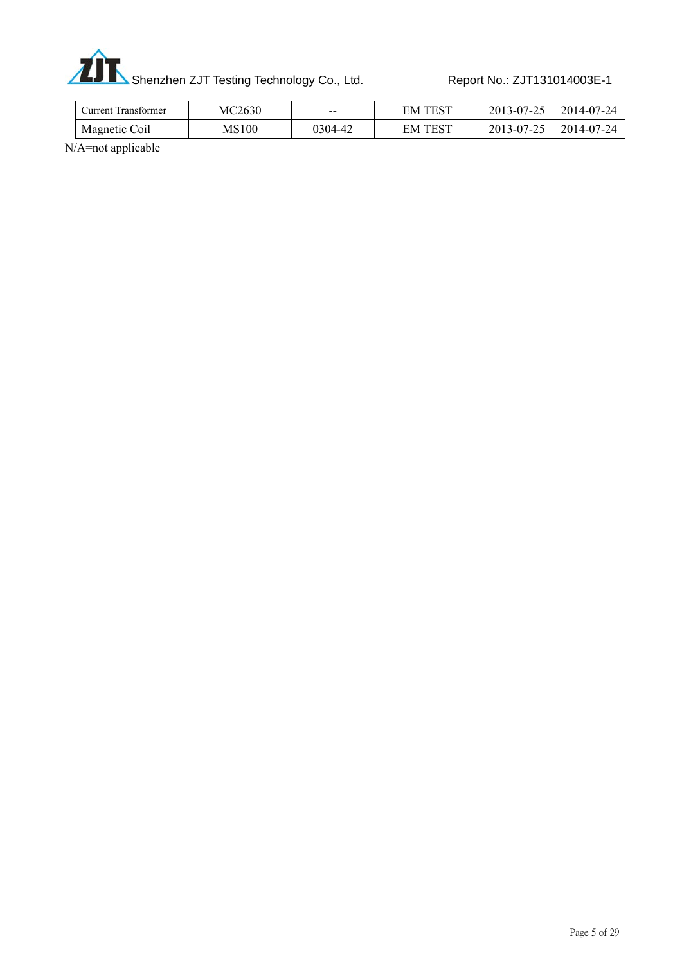

Shenzhen ZJT Testing Technology Co., Ltd. Report No.: ZJT131014003E-1

| Uurrent Transformer. | MC2630 | $- -$   | . TEST<br>EМ | 2013-07-25 | 2014-07-24 |
|----------------------|--------|---------|--------------|------------|------------|
| Magnetic Coil        | MS100  | 0304-42 | . TEST<br>EM | 2013-07-25 | 2014-07-24 |
| - - - -<br>.         |        |         |              |            |            |

N/A=not applicable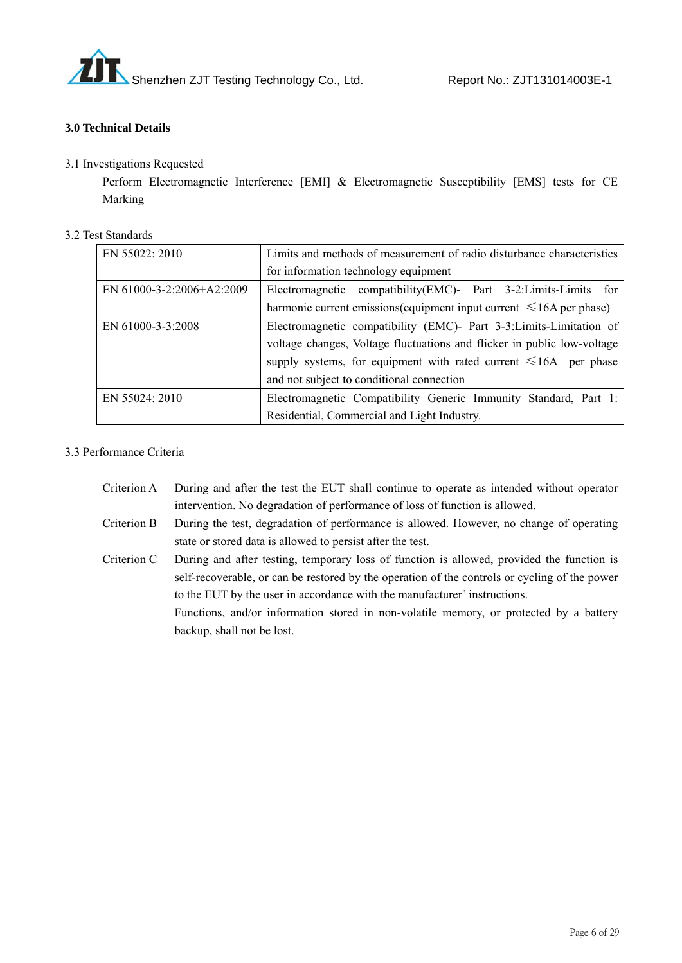

#### **3.0 Technical Details**

#### 3.1 Investigations Requested

Perform Electromagnetic Interference [EMI] & Electromagnetic Susceptibility [EMS] tests for CE Marking

| 3.2 Test Standards |  |
|--------------------|--|
|                    |  |

| EN 55022: 2010              | Limits and methods of measurement of radio disturbance characteristics    |  |  |
|-----------------------------|---------------------------------------------------------------------------|--|--|
|                             | for information technology equipment                                      |  |  |
| EN $61000-3-2:2006+A2:2009$ | Electromagnetic compatibility (EMC)- Part 3-2: Limits-Limits for          |  |  |
|                             | harmonic current emissions (equipment input current $\leq 16A$ per phase) |  |  |
| EN 61000-3-3:2008           | Electromagnetic compatibility (EMC)- Part 3-3: Limits-Limitation of       |  |  |
|                             | voltage changes, Voltage fluctuations and flicker in public low-voltage   |  |  |
|                             | supply systems, for equipment with rated current $\leq 16A$ per phase     |  |  |
|                             | and not subject to conditional connection                                 |  |  |
| EN 55024: 2010              | Electromagnetic Compatibility Generic Immunity Standard, Part 1:          |  |  |
|                             | Residential, Commercial and Light Industry.                               |  |  |

#### 3.3 Performance Criteria

- Criterion A During and after the test the EUT shall continue to operate as intended without operator intervention. No degradation of performance of loss of function is allowed.
- Criterion B During the test, degradation of performance is allowed. However, no change of operating state or stored data is allowed to persist after the test.
- Criterion C During and after testing, temporary loss of function is allowed, provided the function is self-recoverable, or can be restored by the operation of the controls or cycling of the power to the EUT by the user in accordance with the manufacturer' instructions. Functions, and/or information stored in non-volatile memory, or protected by a battery

backup, shall not be lost.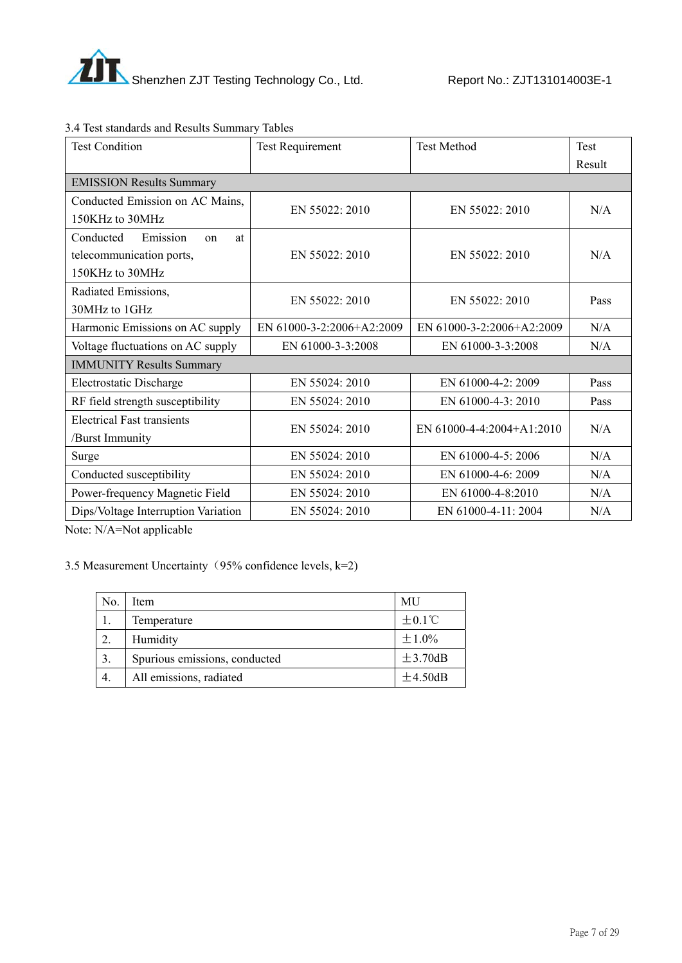

| <b>Test Condition</b>                              | <b>Test Requirement</b>   | <b>Test Method</b>        | <b>Test</b> |  |
|----------------------------------------------------|---------------------------|---------------------------|-------------|--|
|                                                    |                           |                           | Result      |  |
| <b>EMISSION Results Summary</b>                    |                           |                           |             |  |
| Conducted Emission on AC Mains,<br>150KHz to 30MHz | EN 55022: 2010            | EN 55022: 2010            | N/A         |  |
| Emission<br>Conducted                              |                           |                           |             |  |
| at<br>$_{\rm on}$<br>telecommunication ports,      | EN $55022 \cdot 2010$     | EN $55022 \cdot 2010$     | N/A         |  |
| 150KHz to 30MHz                                    |                           |                           |             |  |
| Radiated Emissions,                                | EN 55022: 2010            | EN 55022: 2010            | Pass        |  |
| 30MHz to 1GHz                                      |                           |                           |             |  |
| Harmonic Emissions on AC supply                    | EN 61000-3-2:2006+A2:2009 | EN 61000-3-2:2006+A2:2009 | N/A         |  |
| Voltage fluctuations on AC supply                  | EN 61000-3-3:2008         | EN 61000-3-3:2008         | N/A         |  |
| <b>IMMUNITY Results Summary</b>                    |                           |                           |             |  |
| Electrostatic Discharge                            | EN 55024: 2010            | EN 61000-4-2: 2009        | Pass        |  |
| RF field strength susceptibility                   | EN 55024: 2010            | EN 61000-4-3: 2010        | Pass        |  |
| <b>Electrical Fast transients</b>                  | EN 55024: 2010            | EN 61000-4-4:2004+A1:2010 | N/A         |  |
| /Burst Immunity                                    |                           |                           |             |  |
| Surge                                              | EN 55024: 2010            | EN 61000-4-5: 2006        | N/A         |  |
| Conducted susceptibility                           | EN 55024: 2010            | EN 61000-4-6: 2009        | N/A         |  |
| Power-frequency Magnetic Field                     | EN 55024: 2010            | EN 61000-4-8:2010         | N/A         |  |
| Dips/Voltage Interruption Variation                | EN 55024: 2010            | EN 61000-4-11: 2004       | N/A         |  |

# 3.4 Test standards and Results Summary Tables

Note: N/A=Not applicable

3.5 Measurement Uncertainty (95% confidence levels,  $k=2$ )

| No. | Item                          | MU                 |
|-----|-------------------------------|--------------------|
|     | Temperature                   | $\pm 0.1^{\circ}C$ |
|     | Humidity                      | ±1.0%              |
| 3.  | Spurious emissions, conducted | ±3.70dB            |
|     | All emissions, radiated       | $\pm$ 4.50dB       |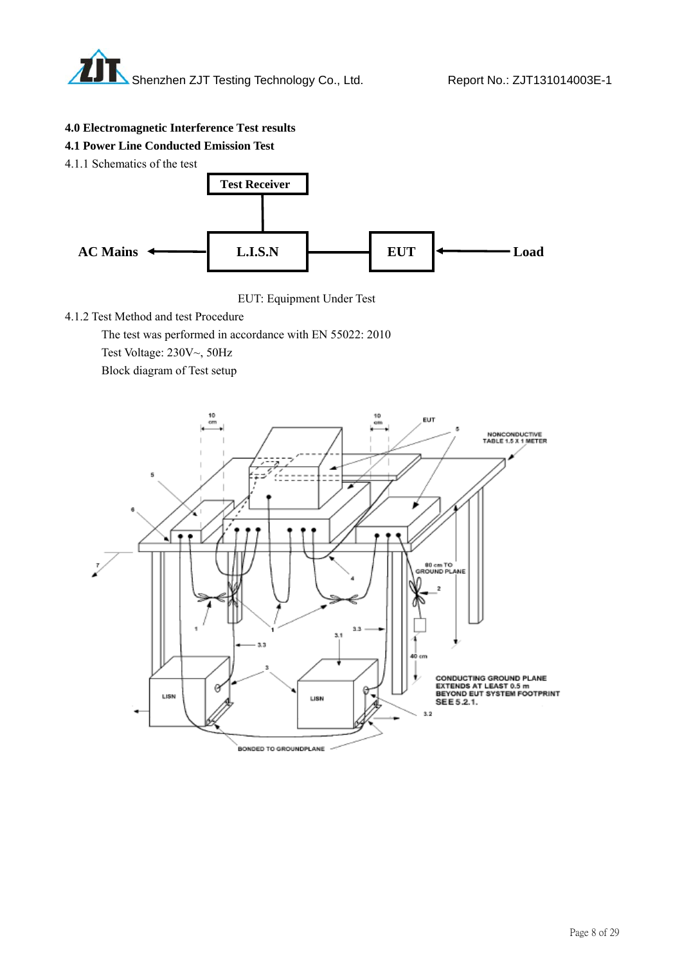

#### **4.0 Electromagnetic Interference Test results**

#### **4.1 Power Line Conducted Emission Test**

4.1.1 Schematics of the test





4.1.2 Test Method and test Procedure

The test was performed in accordance with EN 55022: 2010

Test Voltage: 230V~, 50Hz

Block diagram of Test setup

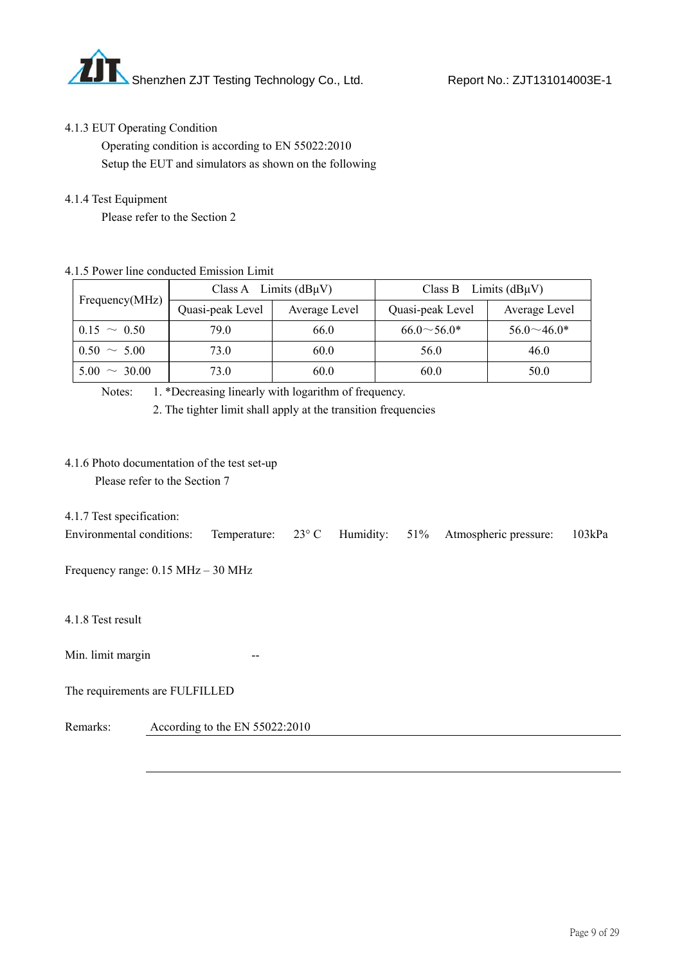

#### 4.1.3 EUT Operating Condition

 Operating condition is according to EN 55022:2010 Setup the EUT and simulators as shown on the following

#### 4.1.4 Test Equipment

Please refer to the Section 2

#### 4.1.5 Power line conducted Emission Limit

|                   | Class A Limits $(dB\mu V)$ |               | Limits $(dB\mu V)$<br>Class B |                   |
|-------------------|----------------------------|---------------|-------------------------------|-------------------|
| Frequency(MHz)    | Quasi-peak Level           | Average Level | Quasi-peak Level              | Average Level     |
| $0.15 \sim 0.50$  | 79.0                       | 66.0          | $66.0 \sim 56.0*$             | $56.0 \sim 46.0*$ |
| $0.50 \sim 5.00$  | 73.0                       | 60.0          | 56.0                          | 46.0              |
| $5.00 \sim 30.00$ | 73.0                       | 60.0          | 60.0                          | 50.0              |

Notes: 1. \*Decreasing linearly with logarithm of frequency.

2. The tighter limit shall apply at the transition frequencies

#### 4.1.6 Photo documentation of the test set-up

Please refer to the Section 7

4.1.7 Test specification:

| Temperature: 23° C Humidity: 51% Atmospheric pressure: 103kPa | Environmental conditions: |
|---------------------------------------------------------------|---------------------------|
|---------------------------------------------------------------|---------------------------|

Frequency range: 0.15 MHz – 30 MHz

4.1.8 Test result

Min. limit margin --

The requirements are FULFILLED

Remarks: According to the EN 55022:2010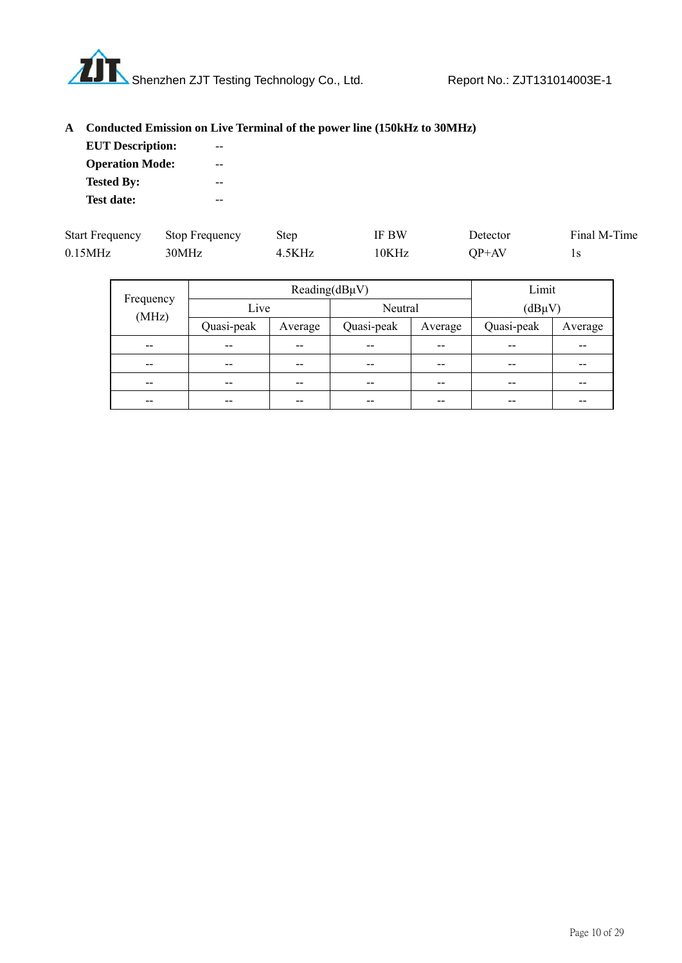

# **A Conducted Emission on Live Terminal of the power line (150kHz to 30MHz)**

| <b>EUT Description:</b> |  |
|-------------------------|--|
| <b>Operation Mode:</b>  |  |
| <b>Tested By:</b>       |  |
| Test date:              |  |

| <b>Start Frequency</b> | <b>Stop Frequency</b> | Step   | IF BW | Detector | Final M-Time |
|------------------------|-----------------------|--------|-------|----------|--------------|
| $0.15$ MHz             | 30MHz                 | 4.5KHz | 10KHz | $OP+AV$  |              |

|                    | Reading( $dB\mu V$ ) |         |            |         | Limit       |         |
|--------------------|----------------------|---------|------------|---------|-------------|---------|
| Frequency<br>(MHz) | Live                 |         | Neutral    |         | $(dB\mu V)$ |         |
|                    | Quasi-peak           | Average | Quasi-peak | Average | Quasi-peak  | Average |
| $- -$              | $- -$                | --      | $- -$      | --      | --          | --      |
| $- -$              | --                   | --      | $- -$      | --      | --          | --      |
| $- -$              | --                   | $- -$   | $- -$      | --      | --          | --      |
| --                 | --                   | --      | $- -$      | --      | --          | --      |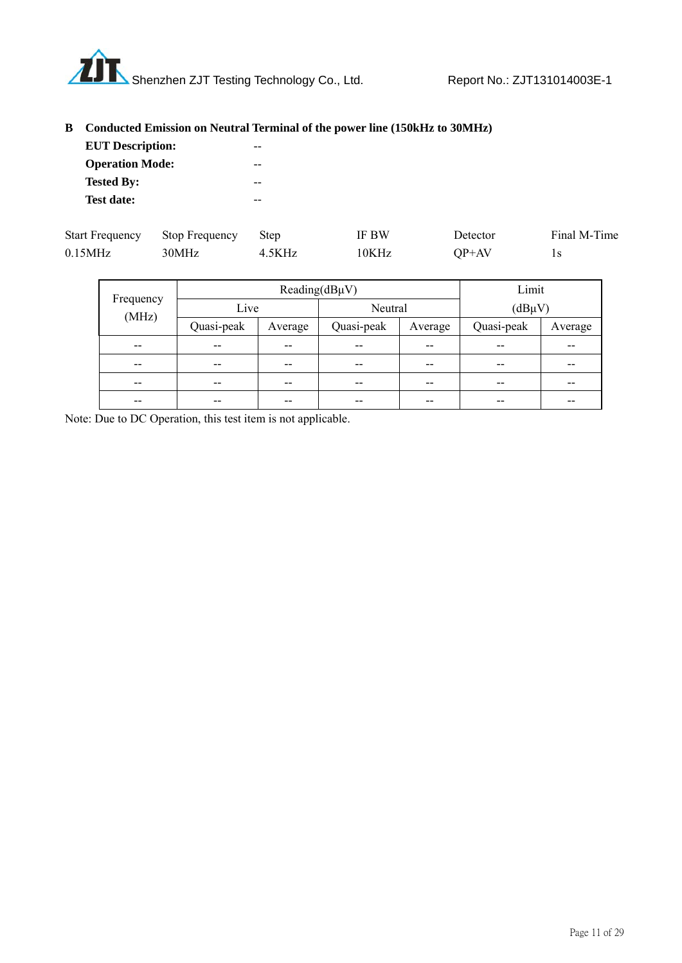

# **B Conducted Emission on Neutral Terminal of the power line (150kHz to 30MHz)**

| <b>EUT</b> Description: |  |
|-------------------------|--|
| <b>Operation Mode:</b>  |  |
| <b>Tested By:</b>       |  |
| <b>Test date:</b>       |  |

| <b>Start Frequency</b> | Stop Frequency Step |        | <b>IF BW</b> | Detector | Final M-Time |
|------------------------|---------------------|--------|--------------|----------|--------------|
| $0.15$ MHz             | 30MHz               | 4.5KHz | 10KHz        | $OP+AV$  |              |

|                    | Reading( $dB\mu V$ ) |         |            | Limit   |             |         |
|--------------------|----------------------|---------|------------|---------|-------------|---------|
| Frequency<br>(MHz) | Live                 |         | Neutral    |         | $(dB\mu V)$ |         |
|                    | Quasi-peak           | Average | Quasi-peak | Average | Quasi-peak  | Average |
| $- -$              | $- -$                | $- -$   | --         | --      | --          | --      |
| --                 | $- -$                | $- -$   | --         | --      | --          | --      |
| $- -$              | $- -$                | $- -$   | --         | --      | $- -$       | --      |
| $- -$              | --                   | --      | --         | --      | --          | --      |

Note: Due to DC Operation, this test item is not applicable.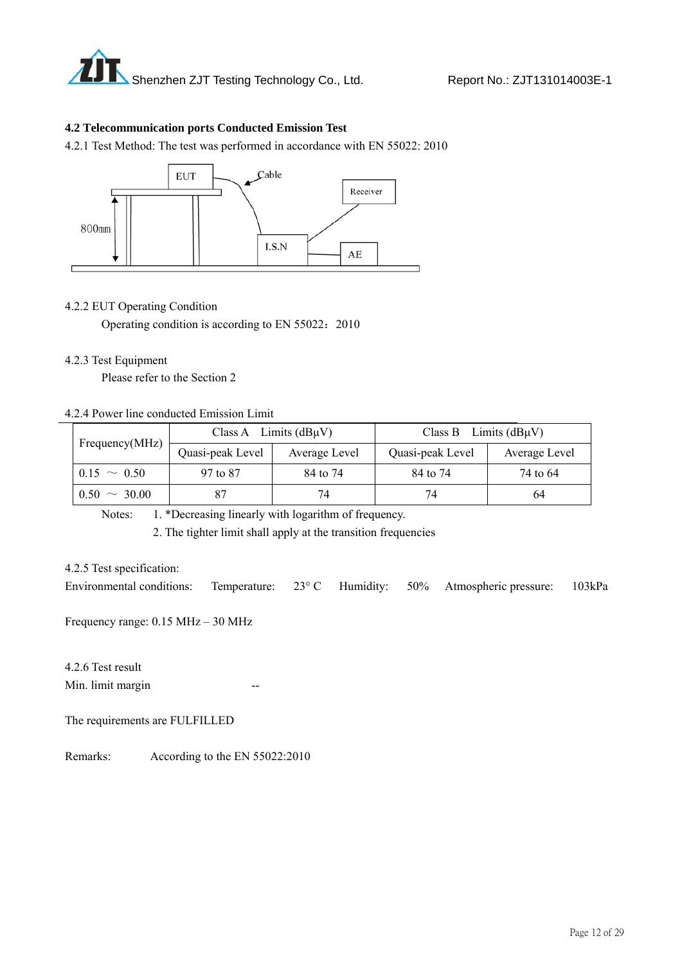

#### **4.2 Telecommunication ports Conducted Emission Test**

4.2.1 Test Method: The test was performed in accordance with EN 55022: 2010



#### 4.2.2 EUT Operating Condition

Operating condition is according to EN 55022: 2010

#### 4.2.3 Test Equipment

Please refer to the Section 2

#### 4.2.4 Power line conducted Emission Limit

|                   | Class A Limits $(dB\mu V)$ |               | Class B Limits $(dB\mu V)$ |               |  |
|-------------------|----------------------------|---------------|----------------------------|---------------|--|
| Frequency(MHz)    | Quasi-peak Level           | Average Level | Quasi-peak Level           | Average Level |  |
| $0.15 \sim 0.50$  | 97 to 87                   | 84 to 74      | 84 to 74                   | 74 to 64      |  |
| $0.50 \sim 30.00$ |                            | 74            | 74                         | 64            |  |

Notes: 1. \*Decreasing linearly with logarithm of frequency.

2. The tighter limit shall apply at the transition frequencies

#### 4.2.5 Test specification:

Environmental conditions: Temperature: 23° C Humidity: 50% Atmospheric pressure: 103kPa

Frequency range: 0.15 MHz – 30 MHz

4.2.6 Test result Min. limit margin

The requirements are FULFILLED

Remarks: According to the EN 55022:2010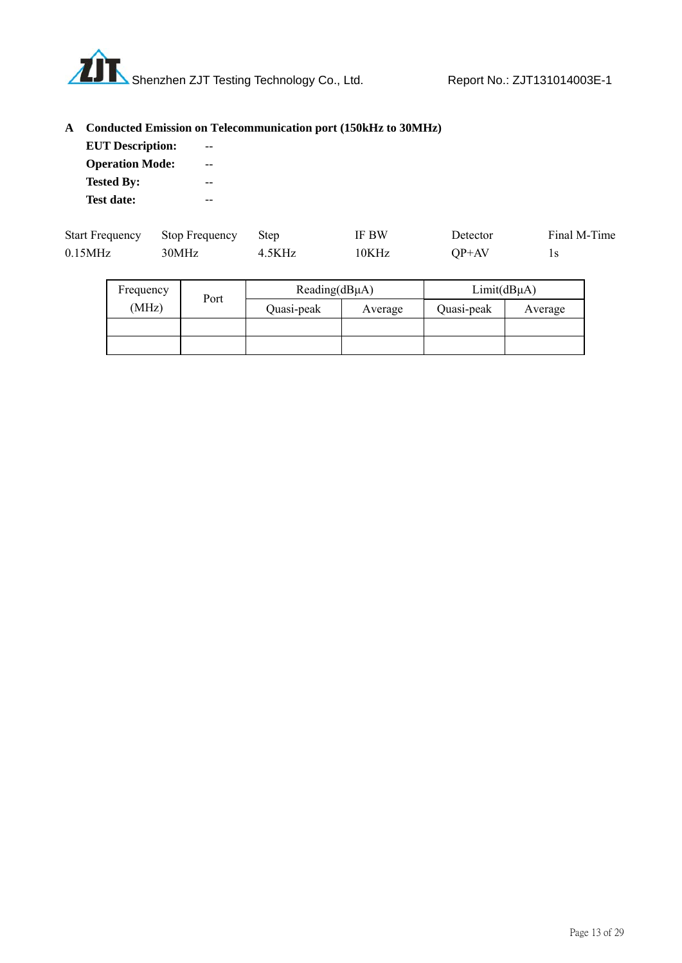

# **A Conducted Emission on Telecommunication port (150kHz to 30MHz)**

| <b>EUT Description:</b> |  |
|-------------------------|--|
| <b>Operation Mode:</b>  |  |
| <b>Tested By:</b>       |  |
| <b>Test date:</b>       |  |

| <b>Start Frequency</b> | Stop Frequency Step |        | <b>IF BW</b> | Detector | Final M-Time |
|------------------------|---------------------|--------|--------------|----------|--------------|
| $0.15$ MHz             | 30MHz               | 4.5KHz | 10KHz        | QP+AV    |              |

| Frequency | Port | Reading(dBµA) |         | $Limit(dB\mu A)$ |         |
|-----------|------|---------------|---------|------------------|---------|
| (MHz)     |      | Quasi-peak    | Average | Quasi-peak       | Average |
|           |      |               |         |                  |         |
|           |      |               |         |                  |         |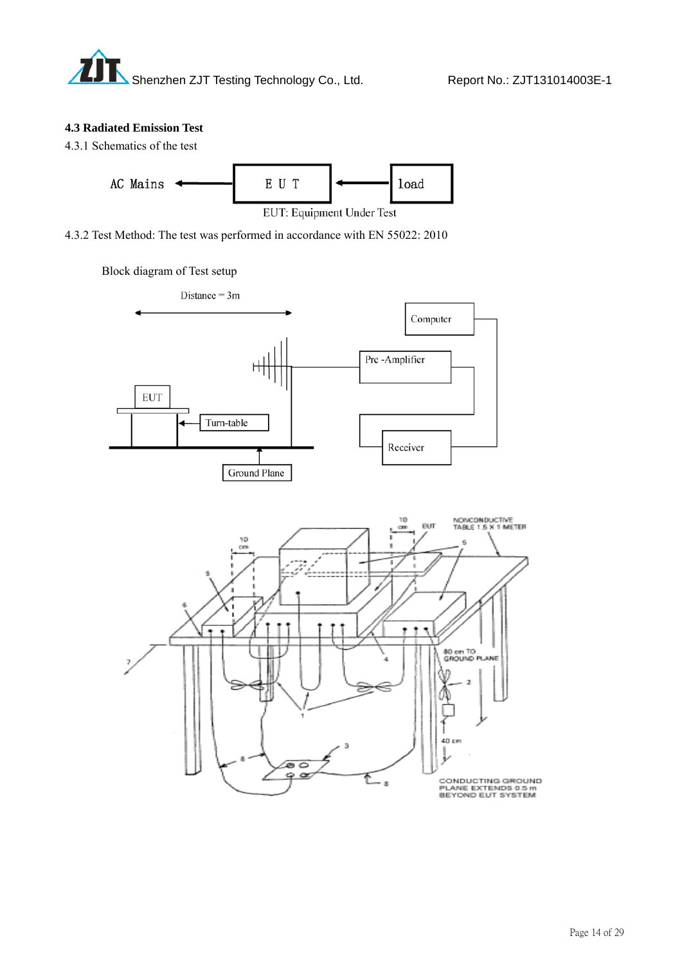#### **4.3 Radiated Emission Test**





4.3.2 Test Method: The test was performed in accordance with EN 55022: 2010

### Block diagram of Test setup



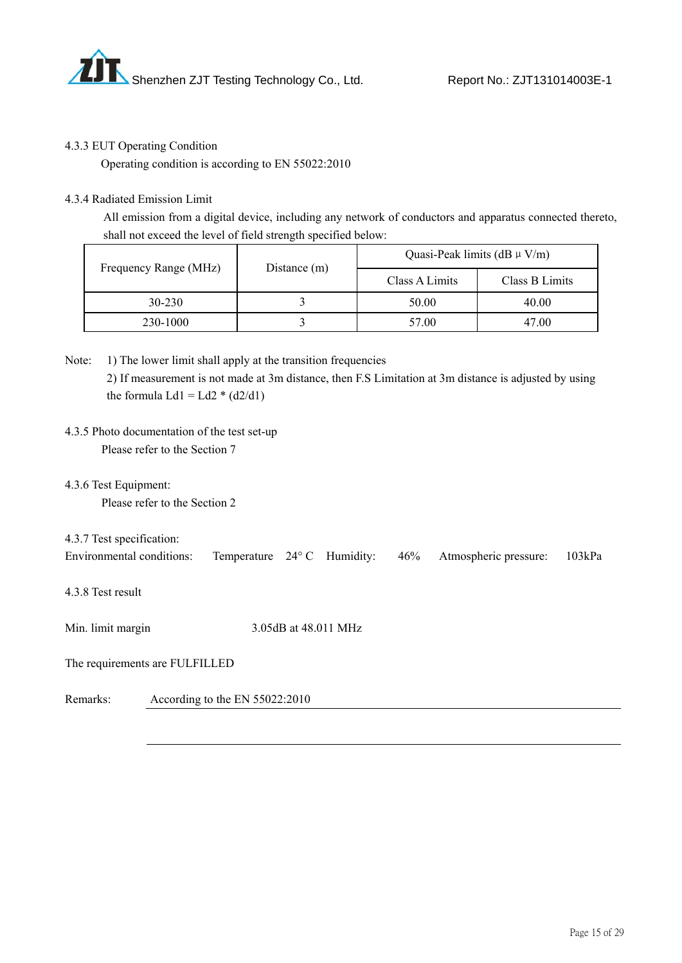

#### 4.3.3 EUT Operating Condition

Operating condition is according to EN 55022:2010

#### 4.3.4 Radiated Emission Limit

 All emission from a digital device, including any network of conductors and apparatus connected thereto, shall not exceed the level of field strength specified below:

|                       |              | Quasi-Peak limits (dB $\mu$ V/m) |                |  |
|-----------------------|--------------|----------------------------------|----------------|--|
| Frequency Range (MHz) | Distance (m) | Class A Limits                   | Class B Limits |  |
| 30-230                |              | 50.00                            | 40.00          |  |
| 230-1000              |              | 57.00                            | 47.00          |  |

- Note: 1) The lower limit shall apply at the transition frequencies 2) If measurement is not made at 3m distance, then F.S Limitation at 3m distance is adjusted by using the formula  $Ld1 = Ld2 * (d2/d1)$
- 4.3.5 Photo documentation of the test set-up Please refer to the Section 7
- 4.3.6 Test Equipment:

Please refer to the Section 2

4.3.7 Test specification:

| Environmental conditions: Temperature 24° C Humidity: 46% Atmospheric pressure: 103kPa |  |  |  |  |  |  |
|----------------------------------------------------------------------------------------|--|--|--|--|--|--|
|----------------------------------------------------------------------------------------|--|--|--|--|--|--|

4.3.8 Test result

Min. limit margin 3.05dB at 48.011 MHz

The requirements are FULFILLED

Remarks: According to the EN 55022:2010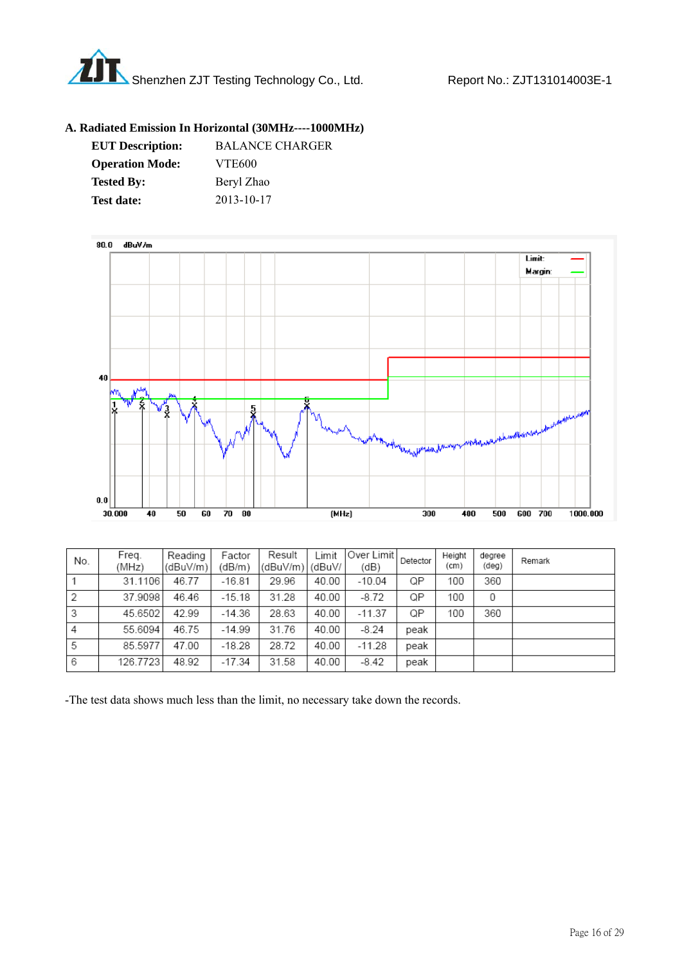

#### **A. Radiated Emission In Horizontal (30MHz----1000MHz)**

| <b>EUT Description:</b> | <b>BALANCE CHARGER</b> |
|-------------------------|------------------------|
| <b>Operation Mode:</b>  | <b>VTE600</b>          |
| <b>Tested By:</b>       | Beryl Zhao             |
| <b>Test date:</b>       | 2013-10-17             |



| No. | Freg.<br>(MHz) | Reading<br>(dBuV/m) | Factor<br>(dB/m) | Result<br>(dBuV/m) | _imit<br>l (dBuV/ | Over Limit<br>(dB) | Detector | Height<br>(cm) | degree<br>(deq) | Remark |
|-----|----------------|---------------------|------------------|--------------------|-------------------|--------------------|----------|----------------|-----------------|--------|
|     | 31.1106        | 46.77               | $-16.81$         | 29.96              | 40.00             | $-10.04$           | QP       | 100            | 360             |        |
| 2   | 37.9098        | 46.46               | $-15.18$         | 31.28              | 40.00             | $-8.72$            | QP       | 100            | 0               |        |
| 3   | 45.6502        | 42.99               | $-14.36$         | 28.63              | 40.00             | $-11.37$           | QP       | 100            | 360             |        |
| 4   | 55.6094        | 46.75               | $-14.99$         | 31.76              | 40.00             | $-8.24$            | peak     |                |                 |        |
| 5   | 85.5977        | 47.00               | $-18.28$         | 28.72              | 40.00             | $-11.28$           | peak     |                |                 |        |
| 6   | 126.7723       | 48.92               | $-17.34$         | 31.58              | 40.00             | $-8.42$            | peak     |                |                 |        |

-The test data shows much less than the limit, no necessary take down the records.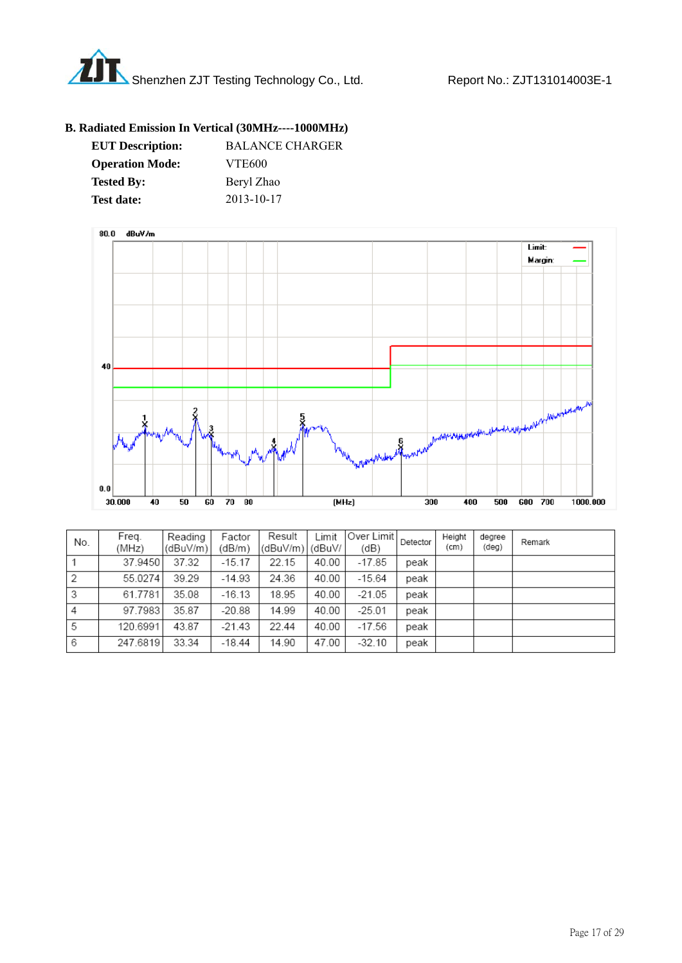

### **B. Radiated Emission In Vertical (30MHz----1000MHz)**

| <b>EUT Description:</b> | <b>BALANCE CHARGER</b> |
|-------------------------|------------------------|
| <b>Operation Mode:</b>  | <b>VTE600</b>          |
| <b>Tested By:</b>       | Beryl Zhao             |
| <b>Test date:</b>       | 2013-10-17             |



| No. | Freq.<br>(MHz) | Reading<br>(dBuV/m) | Factor<br>(dB/m) | Result<br>(dBuV/m) | Limit<br>(dBuV/ | Over Limit <br>(dB) | Detector | Height<br>(cm) | degree<br>(deg) | Remark |
|-----|----------------|---------------------|------------------|--------------------|-----------------|---------------------|----------|----------------|-----------------|--------|
|     | 37.9450        | 37.32               | $-15.17$         | 22.15              | 40.00           | $-17.85$            | peak     |                |                 |        |
| 2   | 55.0274        | 39.29               | $-14.93$         | 24.36              | 40.00           | $-15.64$            | peak     |                |                 |        |
| 3   | 61.7781        | 35.08               | $-16.13$         | 18.95              | 40.00           | $-21.05$            | peak     |                |                 |        |
| 4   | 97.7983        | 35.87               | $-20.88$         | 14.99              | 40.00           | $-25.01$            | peak     |                |                 |        |
| 5   | 120.6991       | 43.87               | $-21.43$         | 22.44              | 40.00           | $-17.56$            | peak     |                |                 |        |
| 6   | 247.6819       | 33.34               | $-18.44$         | 14.90              | 47.00           | $-32.10$            | peak     |                |                 |        |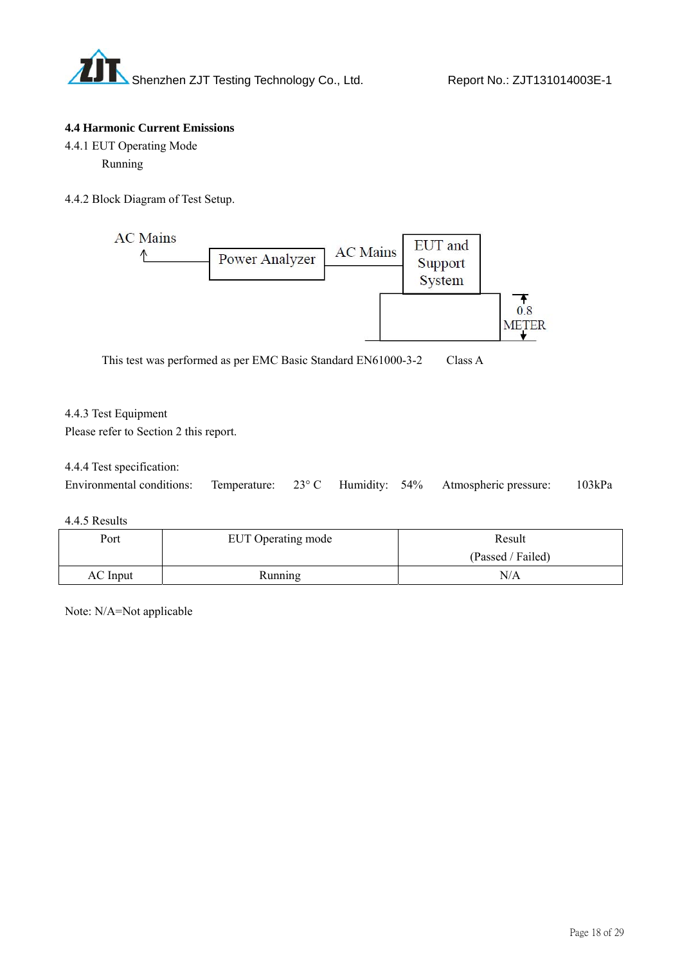

#### **4.4 Harmonic Current Emissions**

- 4.4.1 EUT Operating Mode Running
- 4.4.2 Block Diagram of Test Setup.



This test was performed as per EMC Basic Standard EN61000-3-2 Class A

#### 4.4.3 Test Equipment

Please refer to Section 2 this report.

#### 4.4.4 Test specification:

| Environmental conditions: Temperature: 23° C Humidity: 54% Atmospheric pressure: |  |  | 103kPa |
|----------------------------------------------------------------------------------|--|--|--------|
|                                                                                  |  |  |        |

#### 4.4.5 Results

| Port     | EUT Operating mode | Result            |
|----------|--------------------|-------------------|
|          |                    | (Passed / Failed) |
| AC Input | Running            | N/A               |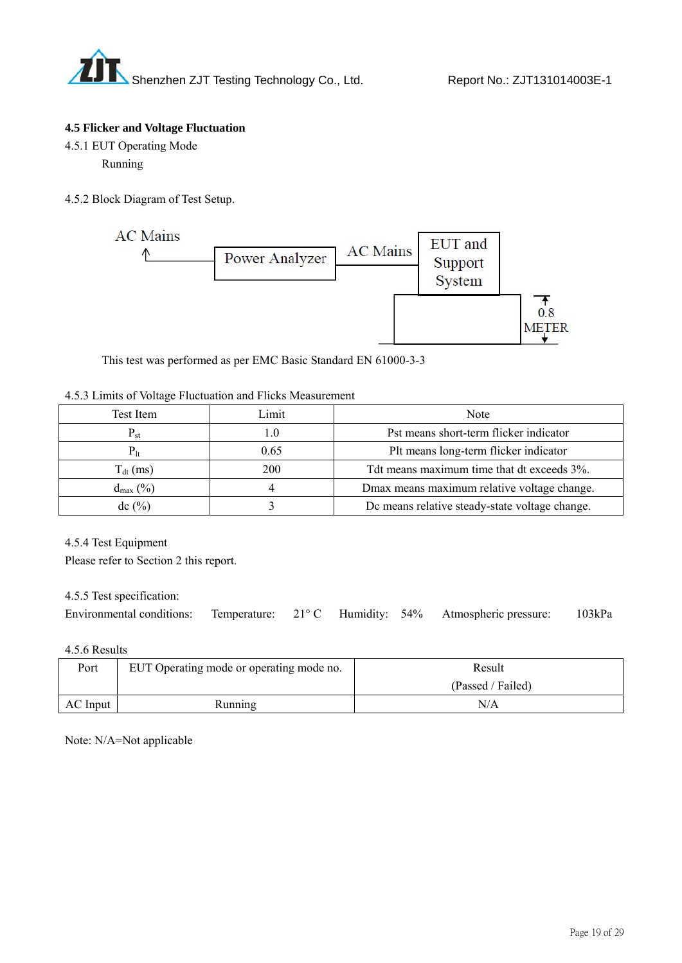

#### **4.5 Flicker and Voltage Fluctuation**

- 4.5.1 EUT Operating Mode Running
- 4.5.2 Block Diagram of Test Setup.



This test was performed as per EMC Basic Standard EN 61000-3-3

#### 4.5.3 Limits of Voltage Fluctuation and Flicks Measurement

| Test Item            | Limit | Note                                           |
|----------------------|-------|------------------------------------------------|
| $\mathbf{P_{st}}$    | . .0  | Pst means short-term flicker indicator         |
|                      | 0.65  | Plt means long-term flicker indicator          |
| $T_{dt}$ (ms)        | 200   | Tdt means maximum time that dt exceeds 3%.     |
| $d_{\text{max}}(\%)$ |       | Dmax means maximum relative voltage change.    |
| $dc$ (%)             |       | De means relative steady-state voltage change. |

4.5.4 Test Equipment

Please refer to Section 2 this report.

4.5.5 Test specification:

| Environmental conditions: Temperature: 21° C Humidity: 54% Atmospheric pressure: 103kPa |  |  |  |  |  |  |
|-----------------------------------------------------------------------------------------|--|--|--|--|--|--|
|-----------------------------------------------------------------------------------------|--|--|--|--|--|--|

4.5.6 Results

| Port     | EUT Operating mode or operating mode no. | Result            |
|----------|------------------------------------------|-------------------|
|          |                                          | (Passed / Failed) |
| AC Input | Running                                  | N/A               |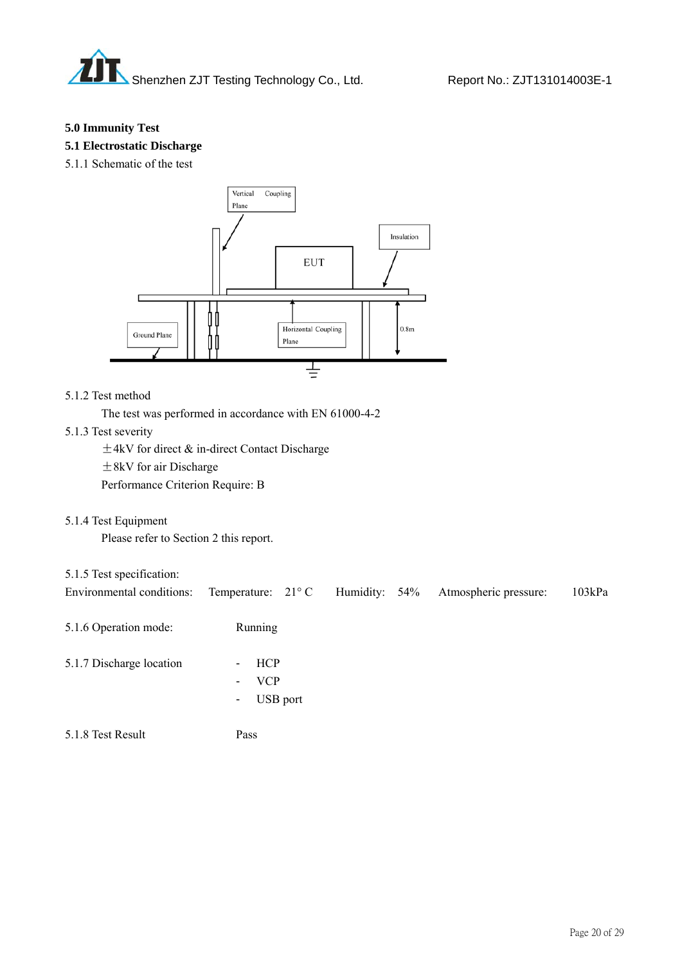

#### **5.0 Immunity Test**

**5.1 Electrostatic Discharge** 

5.1.1 Schematic of the test



### 5.1.2 Test method

The test was performed in accordance with EN 61000-4-2

#### 5.1.3 Test severity

±4kV for direct & in-direct Contact Discharge

±8kV for air Discharge

Performance Criterion Require: B

5.1.4 Test Equipment

Please refer to Section 2 this report.

# 5.1.5 Test specification:

| Environmental conditions: | Temperature: $21^{\circ}$ C Humidity: 54%                               |  | Atmospheric pressure: | 103kPa |
|---------------------------|-------------------------------------------------------------------------|--|-----------------------|--------|
| 5.1.6 Operation mode:     | Running                                                                 |  |                       |        |
| 5.1.7 Discharge location  | <b>HCP</b><br>$\sim$<br>VCP<br>$\blacksquare$<br>USB port<br>$\sim 100$ |  |                       |        |

5.1.8 Test Result Pass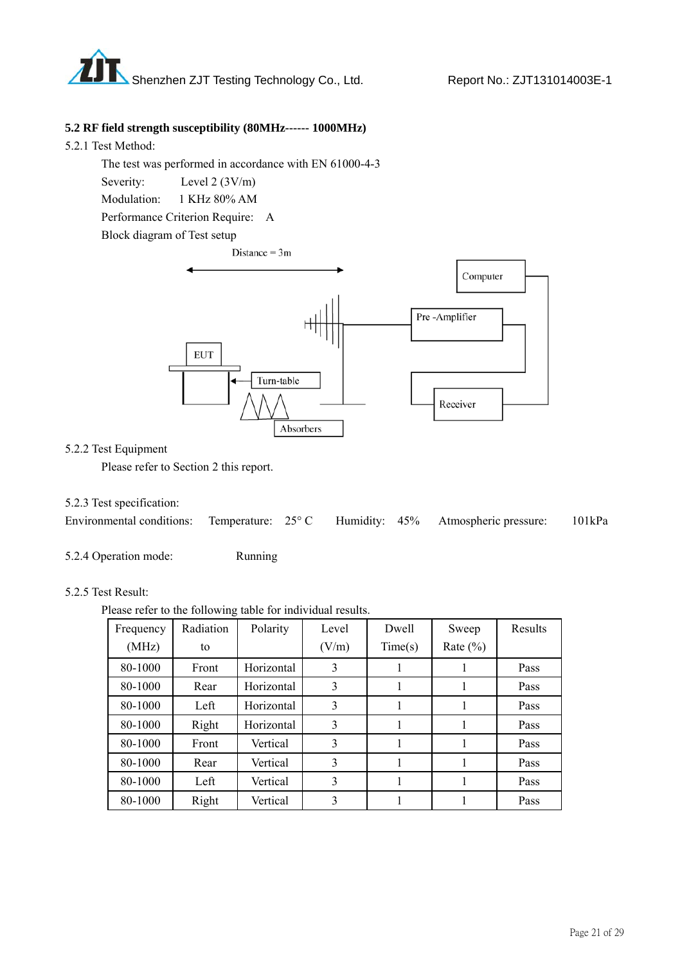

#### **5.2 RF field strength susceptibility (80MHz------ 1000MHz)**

5.2.1 Test Method:

 The test was performed in accordance with EN 61000-4-3 Severity: Level 2 (3V/m) Modulation: 1 KHz 80% AM Performance Criterion Require: A



#### 5.2.2 Test Equipment

Please refer to Section 2 this report.

#### 5.2.3 Test specification:

5.2.4 Operation mode: Running

#### 5.2.5 Test Result:

Please refer to the following table for individual results.

| Frequency | Radiation | Polarity   | Level | Dwell   | Sweep        | Results |
|-----------|-----------|------------|-------|---------|--------------|---------|
| (MHz)     | to        |            | (V/m) | Time(s) | Rate $(\% )$ |         |
| 80-1000   | Front     | Horizontal | 3     | 1       |              | Pass    |
| 80-1000   | Rear      | Horizontal | 3     | 1       |              | Pass    |
| 80-1000   | Left      | Horizontal | 3     |         |              | Pass    |
| 80-1000   | Right     | Horizontal | 3     |         |              | Pass    |
| 80-1000   | Front     | Vertical   | 3     | I.      |              | Pass    |
| 80-1000   | Rear      | Vertical   | 3     |         |              | Pass    |
| 80-1000   | Left      | Vertical   | 3     |         |              | Pass    |
| 80-1000   | Right     | Vertical   | 3     |         |              | Pass    |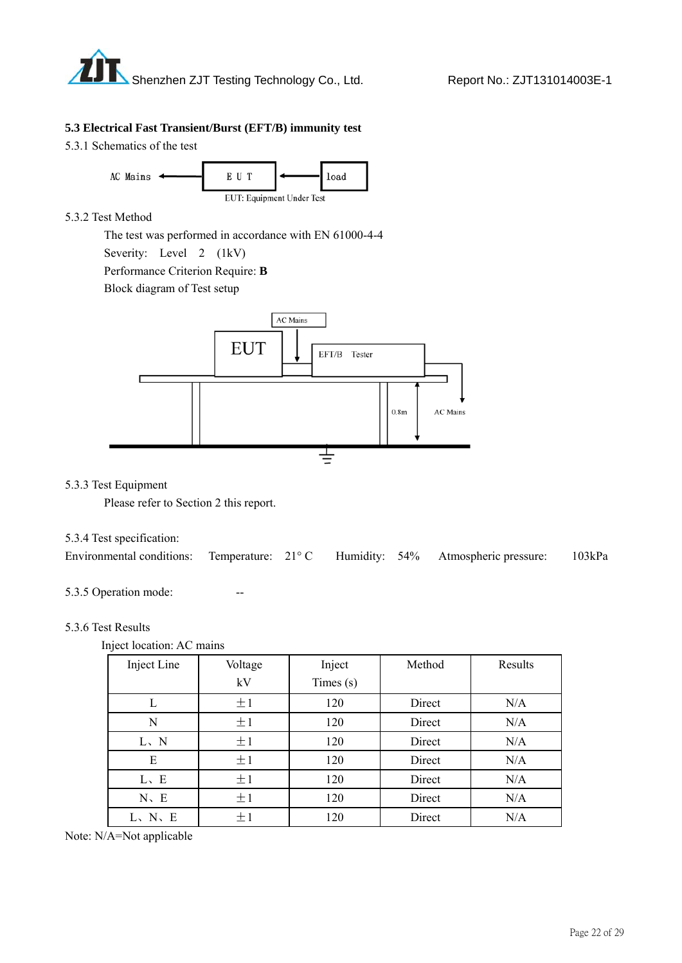

#### **5.3 Electrical Fast Transient/Burst (EFT/B) immunity test**

5.3.1 Schematics of the test



#### 5.3.2 Test Method

 The test was performed in accordance with EN 61000-4-4 Severity: Level 2 (1kV) Performance Criterion Require: **B** 

Block diagram of Test setup



#### 5.3.3 Test Equipment

Please refer to Section 2 this report.

#### 5.3.4 Test specification:

| Environmental conditions: Temperature: 21°C Humidity: 54% Atmospheric pressure: 103kPa |  |  |  |
|----------------------------------------------------------------------------------------|--|--|--|
|                                                                                        |  |  |  |

5.3.5 Operation mode:

#### 5.3.6 Test Results

| Inject location: AC mains |  |
|---------------------------|--|
|---------------------------|--|

| Inject Line | Voltage | Inject      | Method | Results |
|-------------|---------|-------------|--------|---------|
|             | kV      | Times $(s)$ |        |         |
| L           | ±1      | 120         | Direct | N/A     |
| N           | ±1      | 120         | Direct | N/A     |
| L, N        | ±1      | 120         | Direct | N/A     |
| E           | ±1      | 120         | Direct | N/A     |
| L, E        | ±1      | 120         | Direct | N/A     |
| $N$ , E     | ±1      | 120         | Direct | N/A     |
| L, N, E     | ±1      | 120         | Direct | N/A     |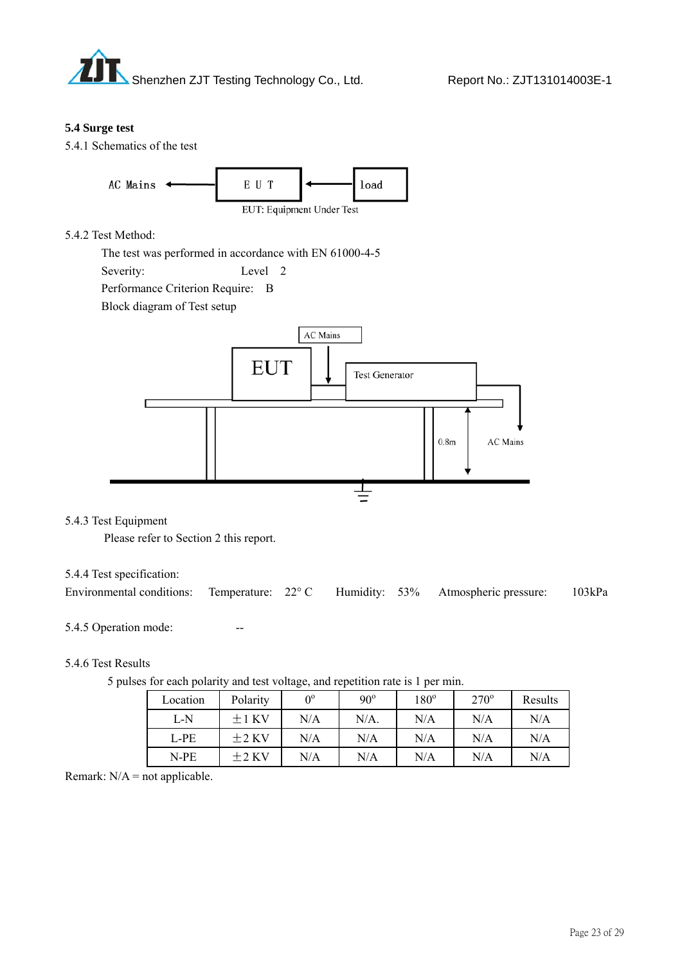

#### **5.4 Surge test**





#### 5.4.2 Test Method:

 The test was performed in accordance with EN 61000-4-5 Severity: Level 2 Performance Criterion Require: B

Block diagram of Test setup



#### 5.4.3 Test Equipment

Please refer to Section 2 this report.

#### 5.4.4 Test specification:

| Environmental conditions: Temperature: 22° C Humidity: 53% Atmospheric pressure: 103kPa |  |  |  |
|-----------------------------------------------------------------------------------------|--|--|--|
|                                                                                         |  |  |  |

#### 5.4.5 Operation mode:

#### 5.4.6 Test Results

|  |  | 5 pulses for each polarity and test voltage, and repetition rate is 1 per min. |  |  |
|--|--|--------------------------------------------------------------------------------|--|--|
|  |  |                                                                                |  |  |

| Location | Polarity | $\Omega^0$ | $90^\circ$ | $180^\circ$ | $270^\circ$ | Results |
|----------|----------|------------|------------|-------------|-------------|---------|
| L-N      | $+1$ KV  | N/A        | $N/A$ .    | N/A         | N/A         | N/A     |
| L-PE     | $+2$ KV  | N/A        | N/A        | N/A         | N/A         | N/A     |
| N-PE     | $+2$ KV  | N/A        | N/A        | N/A         | N/A         | N/A     |

Remark:  $N/A$  = not applicable.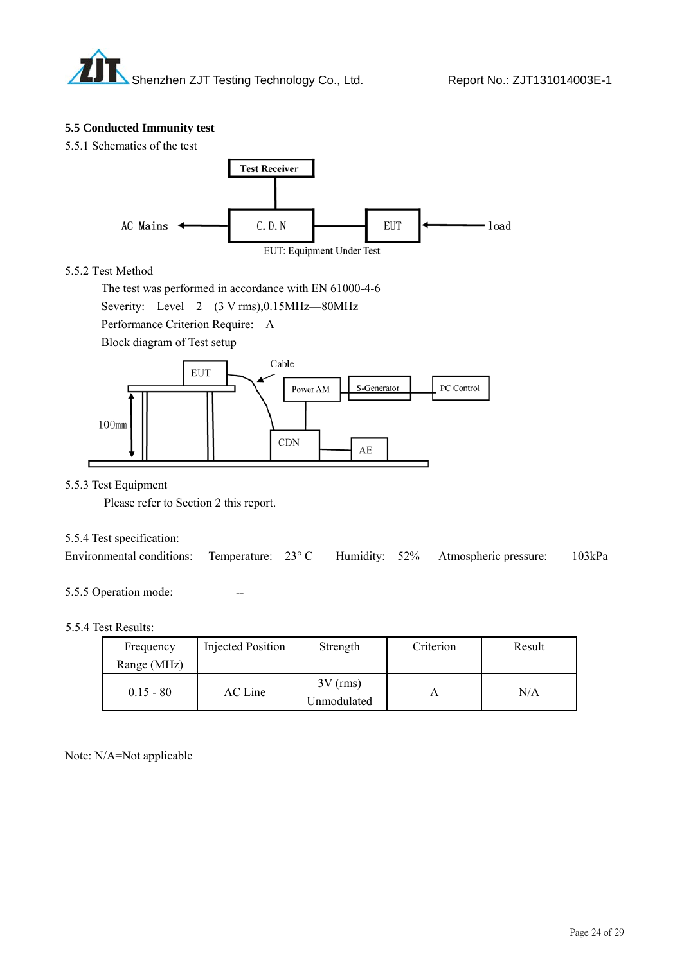

#### **5.5 Conducted Immunity test**

5.5.1 Schematics of the test



#### 5.5.2 Test Method

 The test was performed in accordance with EN 61000-4-6 Severity: Level 2 (3 V rms), 0.15MHz—80MHz Performance Criterion Require: A Block diagram of Test setup



5.5.3 Test Equipment

Please refer to Section 2 this report.

#### 5.5.4 Test specification:

|  |  |  |  |  | Environmental conditions: Temperature: 23°C Humidity: 52% Atmospheric pressure: 103kPa |  |
|--|--|--|--|--|----------------------------------------------------------------------------------------|--|
|--|--|--|--|--|----------------------------------------------------------------------------------------|--|

5.5.5 Operation mode:

#### 5.5.4 Test Results:

| Frequency<br>Range (MHz) | Injected Position | Strength                  | Criterion | Result |
|--------------------------|-------------------|---------------------------|-----------|--------|
| $0.15 - 80$              | AC Line           | $3V$ (rms)<br>Unmodulated |           | N/A    |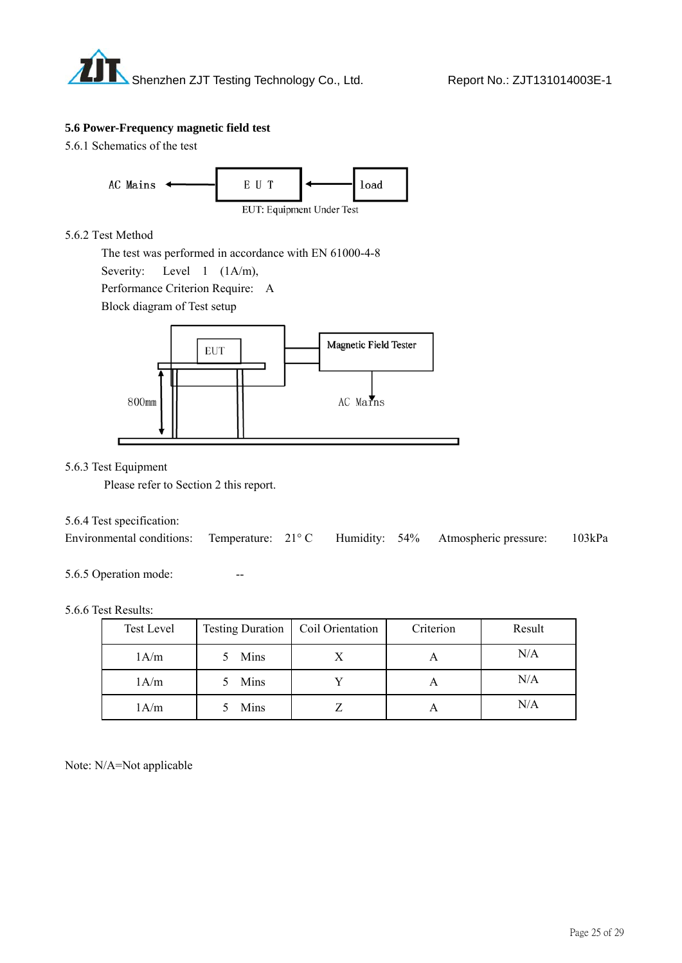

#### **5.6 Power-Frequency magnetic field test**

5.6.1 Schematics of the test



#### 5.6.2 Test Method

The test was performed in accordance with EN 61000-4-8

Severity: Level 1 (1A/m),

Performance Criterion Require: A

Block diagram of Test setup



#### 5.6.3 Test Equipment

Please refer to Section 2 this report.

#### 5.6.4 Test specification:

| Environmental conditions: Temperature: 21°C Humidity: 54% Atmospheric pressure: |  |  | 103kPa |
|---------------------------------------------------------------------------------|--|--|--------|
|                                                                                 |  |  |        |

#### 5.6.5 Operation mode:

#### 5.6.6 Test Results:

| Test Level | Testing Duration   Coil Orientation | Criterion | Result |
|------------|-------------------------------------|-----------|--------|
| 1A/m       | Mins                                |           | N/A    |
| 1A/m       | Mins                                |           | N/A    |
| 1A/m       | Mins                                |           | N/A    |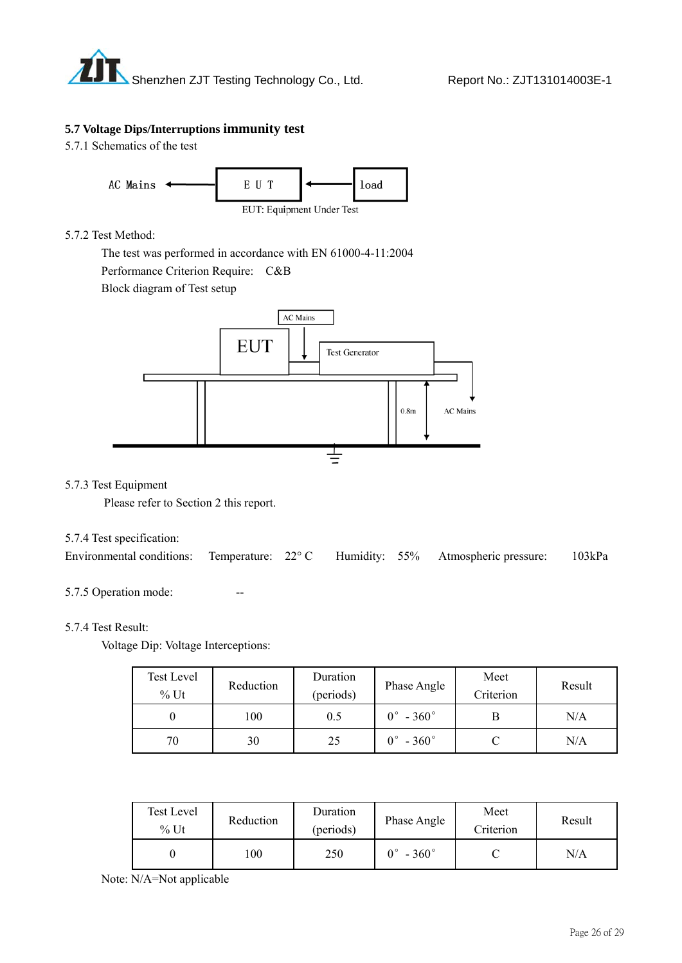

#### **5.7 Voltage Dips/Interruptions immunity test**

5.7.1 Schematics of the test



#### 5.7.2 Test Method:

 The test was performed in accordance with EN 61000-4-11:2004 Performance Criterion Require: C&B

Block diagram of Test setup



#### 5.7.3 Test Equipment

Please refer to Section 2 this report.

#### 5.7.4 Test specification:

| Environmental conditions: Temperature: 22° C Humidity: 55% Atmospheric pressure: 103kPa |  |  |  |
|-----------------------------------------------------------------------------------------|--|--|--|
|                                                                                         |  |  |  |

#### 5.7.5 Operation mode:

#### 5.7.4 Test Result:

Voltage Dip: Voltage Interceptions:

| <b>Test Level</b><br>$%$ Ut | Reduction | Duration<br>(periods) | Phase Angle              | Meet<br>Criterion | Result    |
|-----------------------------|-----------|-----------------------|--------------------------|-------------------|-----------|
|                             | 100       | 0.5                   | $0^\circ$ - 360 $^\circ$ |                   | N/A       |
| 70                          | 30        | 25                    | $0^\circ$ - 360 $^\circ$ |                   | $\rm N/A$ |

| Test Level<br>$%$ Ut | Reduction | Duration<br>(periods) | Phase Angle        | Meet<br>Criterion | Result |
|----------------------|-----------|-----------------------|--------------------|-------------------|--------|
|                      | .00       | 250                   | 0°<br>$-360^\circ$ |                   | N/A    |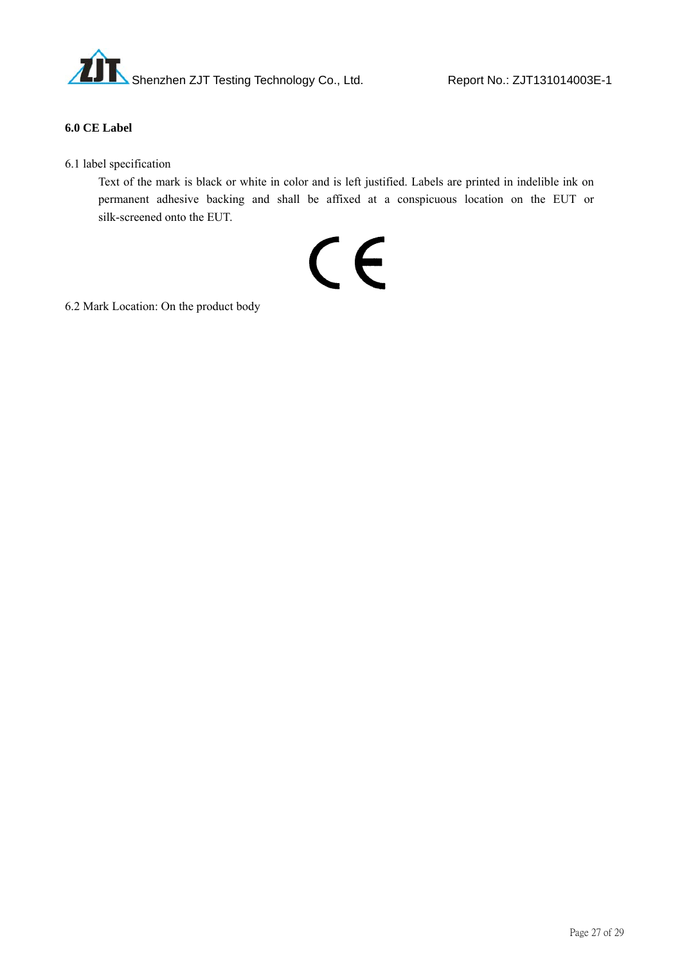

#### **6.0 CE Label**

6.1 label specification

 Text of the mark is black or white in color and is left justified. Labels are printed in indelible ink on permanent adhesive backing and shall be affixed at a conspicuous location on the EUT or silk-screened onto the EUT.

# CE

6.2 Mark Location: On the product body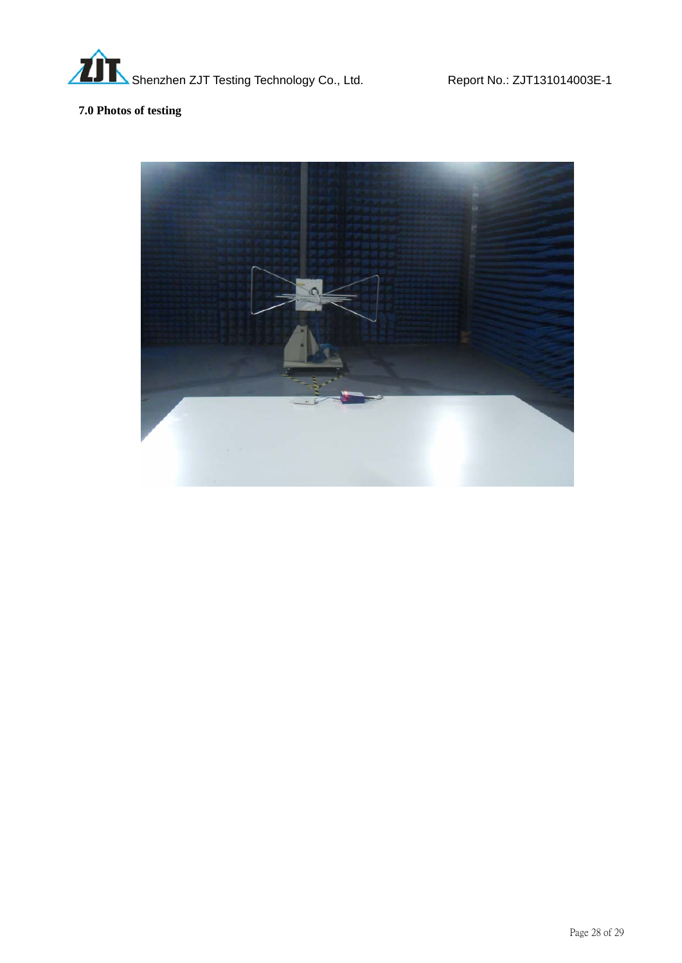

# **7.0 Photos of testing**